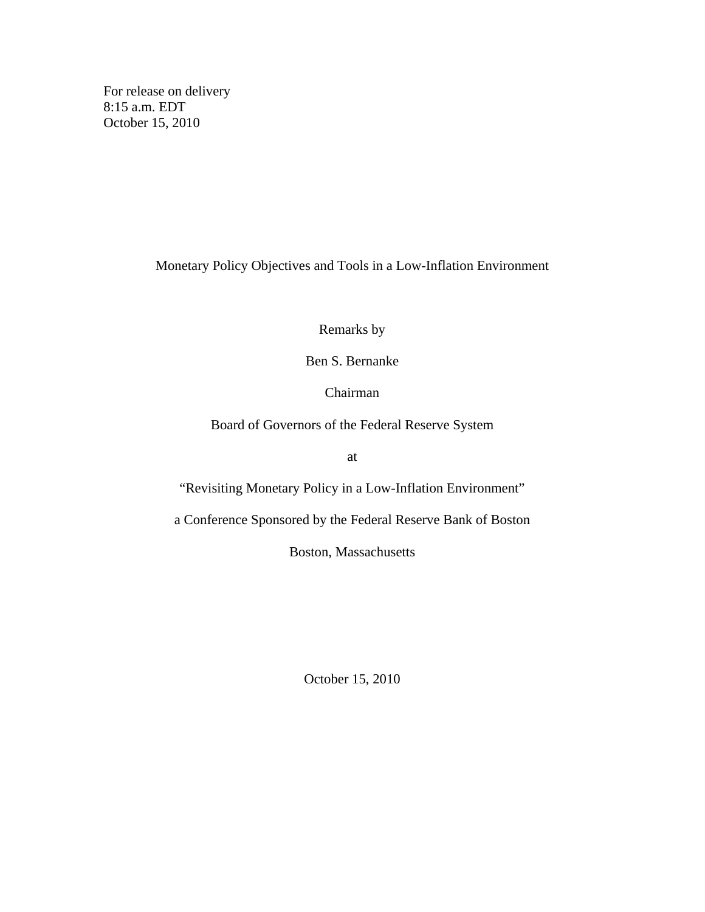For release on delivery 8:15 a.m. EDT October 15, 2010

Monetary Policy Objectives and Tools in a Low-Inflation Environment

Remarks by

Ben S. Bernanke

Chairman

Board of Governors of the Federal Reserve System

at

"Revisiting Monetary Policy in a Low-Inflation Environment"

a Conference Sponsored by the Federal Reserve Bank of Boston

Boston, Massachusetts

October 15, 2010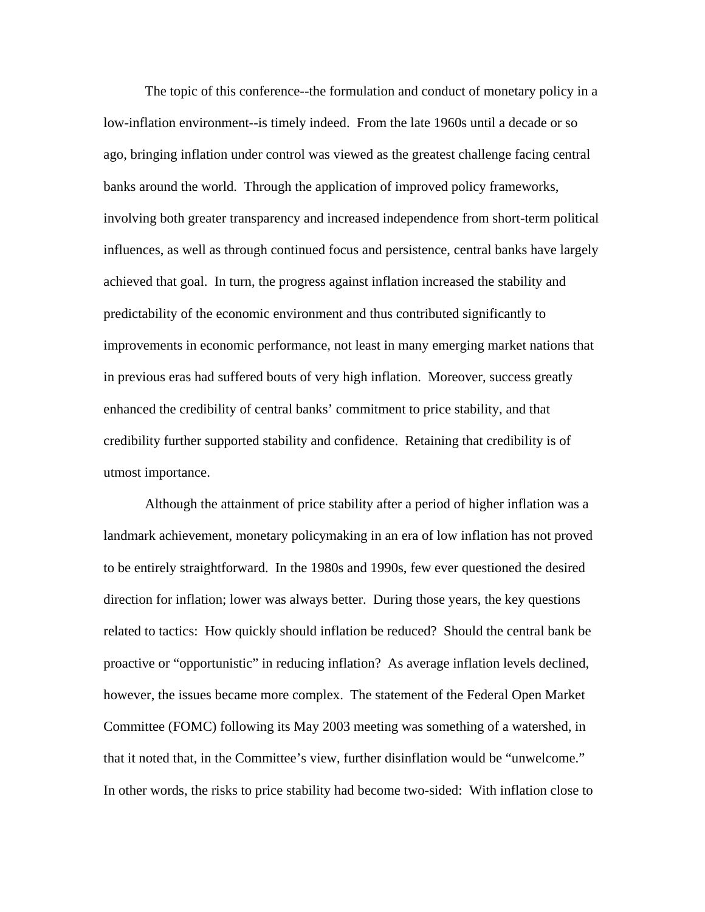The topic of this conference--the formulation and conduct of monetary policy in a low-inflation environment--is timely indeed. From the late 1960s until a decade or so ago, bringing inflation under control was viewed as the greatest challenge facing central banks around the world. Through the application of improved policy frameworks, involving both greater transparency and increased independence from short-term political influences, as well as through continued focus and persistence, central banks have largely achieved that goal. In turn, the progress against inflation increased the stability and predictability of the economic environment and thus contributed significantly to improvements in economic performance, not least in many emerging market nations that in previous eras had suffered bouts of very high inflation. Moreover, success greatly enhanced the credibility of central banks' commitment to price stability, and that credibility further supported stability and confidence. Retaining that credibility is of utmost importance.

Although the attainment of price stability after a period of higher inflation was a landmark achievement, monetary policymaking in an era of low inflation has not proved to be entirely straightforward. In the 1980s and 1990s, few ever questioned the desired direction for inflation; lower was always better. During those years, the key questions related to tactics: How quickly should inflation be reduced? Should the central bank be proactive or "opportunistic" in reducing inflation? As average inflation levels declined, however, the issues became more complex. The statement of the Federal Open Market Committee (FOMC) following its May 2003 meeting was something of a watershed, in that it noted that, in the Committee's view, further disinflation would be "unwelcome." In other words, the risks to price stability had become two-sided: With inflation close to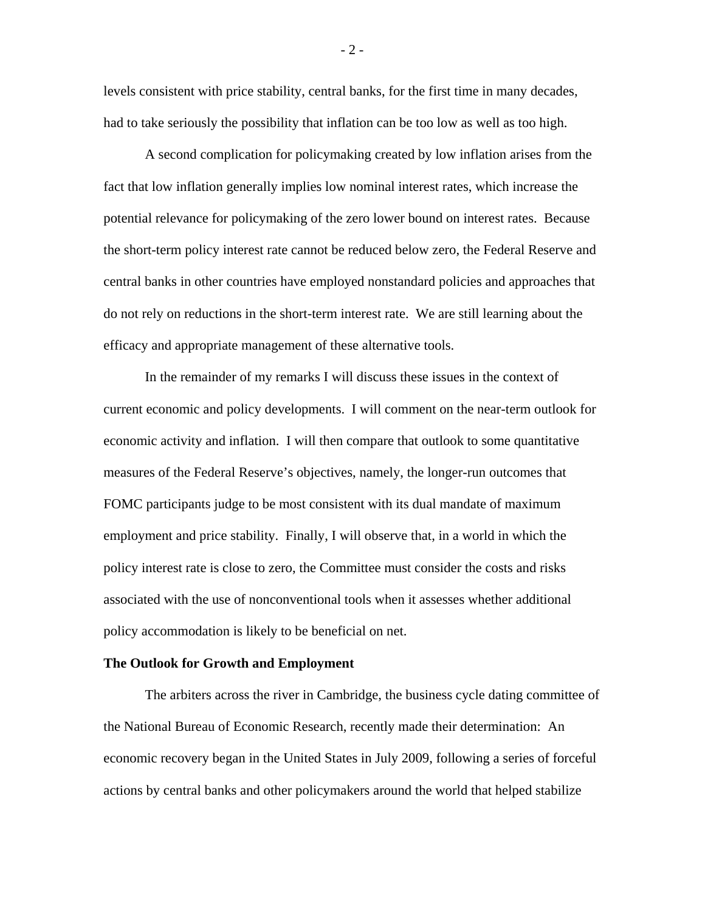levels consistent with price stability, central banks, for the first time in many decades, had to take seriously the possibility that inflation can be too low as well as too high.

A second complication for policymaking created by low inflation arises from the fact that low inflation generally implies low nominal interest rates, which increase the potential relevance for policymaking of the zero lower bound on interest rates. Because the short-term policy interest rate cannot be reduced below zero, the Federal Reserve and central banks in other countries have employed nonstandard policies and approaches that do not rely on reductions in the short-term interest rate. We are still learning about the efficacy and appropriate management of these alternative tools.

In the remainder of my remarks I will discuss these issues in the context of current economic and policy developments. I will comment on the near-term outlook for economic activity and inflation. I will then compare that outlook to some quantitative measures of the Federal Reserve's objectives, namely, the longer-run outcomes that FOMC participants judge to be most consistent with its dual mandate of maximum employment and price stability. Finally, I will observe that, in a world in which the policy interest rate is close to zero, the Committee must consider the costs and risks associated with the use of nonconventional tools when it assesses whether additional policy accommodation is likely to be beneficial on net.

### **The Outlook for Growth and Employment**

The arbiters across the river in Cambridge, the business cycle dating committee of the National Bureau of Economic Research, recently made their determination: An economic recovery began in the United States in July 2009, following a series of forceful actions by central banks and other policymakers around the world that helped stabilize

- 2 -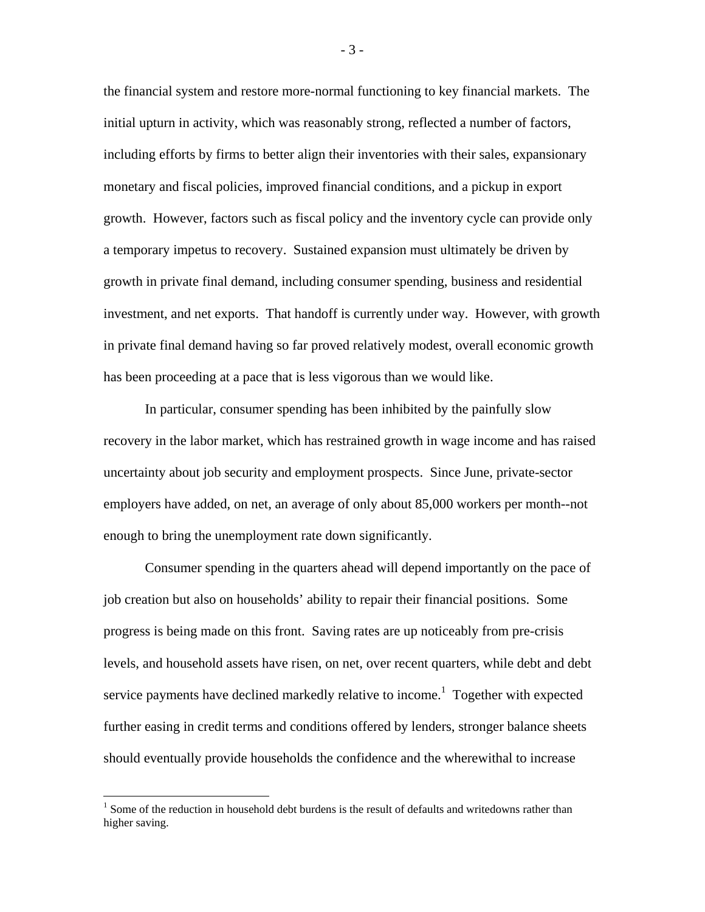the financial system and restore more-normal functioning to key financial markets. The initial upturn in activity, which was reasonably strong, reflected a number of factors, including efforts by firms to better align their inventories with their sales, expansionary monetary and fiscal policies, improved financial conditions, and a pickup in export growth. However, factors such as fiscal policy and the inventory cycle can provide only a temporary impetus to recovery. Sustained expansion must ultimately be driven by growth in private final demand, including consumer spending, business and residential investment, and net exports. That handoff is currently under way. However, with growth in private final demand having so far proved relatively modest, overall economic growth has been proceeding at a pace that is less vigorous than we would like.

In particular, consumer spending has been inhibited by the painfully slow recovery in the labor market, which has restrained growth in wage income and has raised uncertainty about job security and employment prospects. Since June, private-sector employers have added, on net, an average of only about 85,000 workers per month--not enough to bring the unemployment rate down significantly.

Consumer spending in the quarters ahead will depend importantly on the pace of job creation but also on households' ability to repair their financial positions. Some progress is being made on this front. Saving rates are up noticeably from pre-crisis levels, and household assets have risen, on net, over recent quarters, while debt and debt service payments have declined markedly relative to income.<sup>1</sup> Together with expected further easing in credit terms and conditions offered by lenders, stronger balance sheets should eventually provide households the confidence and the wherewithal to increase

 $\overline{a}$ 

- 3 -

 $1$  Some of the reduction in household debt burdens is the result of defaults and writedowns rather than higher saving.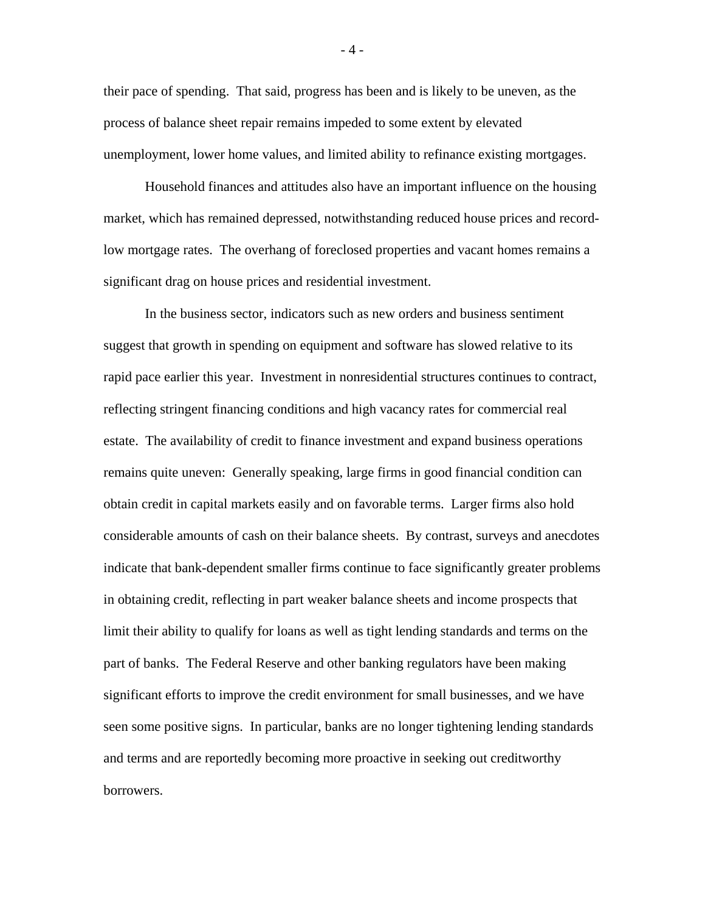their pace of spending. That said, progress has been and is likely to be uneven, as the process of balance sheet repair remains impeded to some extent by elevated unemployment, lower home values, and limited ability to refinance existing mortgages.

Household finances and attitudes also have an important influence on the housing market, which has remained depressed, notwithstanding reduced house prices and recordlow mortgage rates. The overhang of foreclosed properties and vacant homes remains a significant drag on house prices and residential investment.

In the business sector, indicators such as new orders and business sentiment suggest that growth in spending on equipment and software has slowed relative to its rapid pace earlier this year. Investment in nonresidential structures continues to contract, reflecting stringent financing conditions and high vacancy rates for commercial real estate. The availability of credit to finance investment and expand business operations remains quite uneven: Generally speaking, large firms in good financial condition can obtain credit in capital markets easily and on favorable terms. Larger firms also hold considerable amounts of cash on their balance sheets. By contrast, surveys and anecdotes indicate that bank-dependent smaller firms continue to face significantly greater problems in obtaining credit, reflecting in part weaker balance sheets and income prospects that limit their ability to qualify for loans as well as tight lending standards and terms on the part of banks. The Federal Reserve and other banking regulators have been making significant efforts to improve the credit environment for small businesses, and we have seen some positive signs. In particular, banks are no longer tightening lending standards and terms and are reportedly becoming more proactive in seeking out creditworthy borrowers.

- 4 -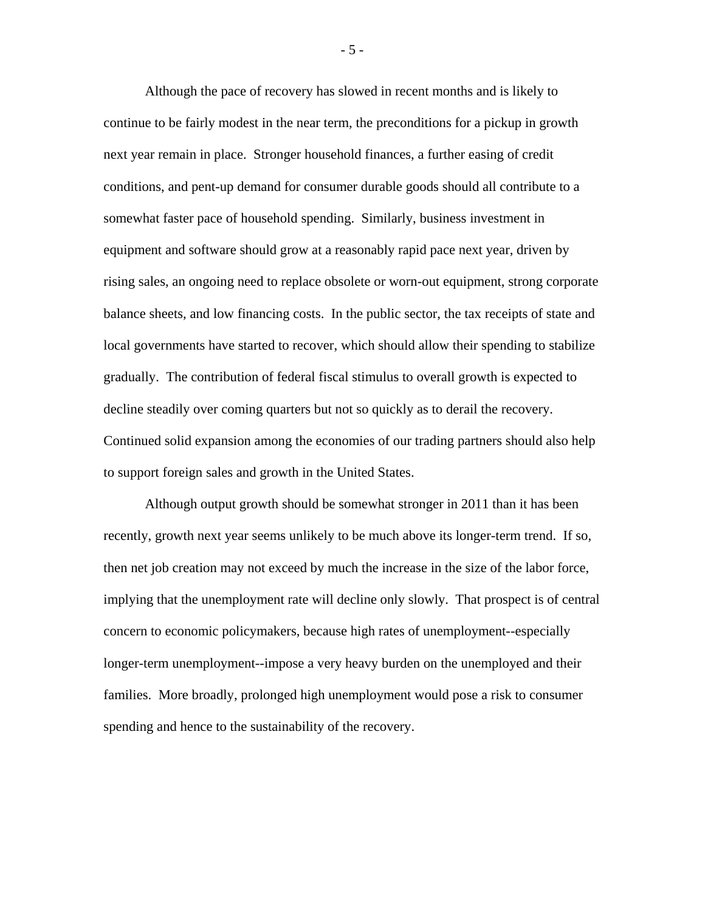Although the pace of recovery has slowed in recent months and is likely to continue to be fairly modest in the near term, the preconditions for a pickup in growth next year remain in place. Stronger household finances, a further easing of credit conditions, and pent-up demand for consumer durable goods should all contribute to a somewhat faster pace of household spending. Similarly, business investment in equipment and software should grow at a reasonably rapid pace next year, driven by rising sales, an ongoing need to replace obsolete or worn-out equipment, strong corporate balance sheets, and low financing costs. In the public sector, the tax receipts of state and local governments have started to recover, which should allow their spending to stabilize gradually. The contribution of federal fiscal stimulus to overall growth is expected to decline steadily over coming quarters but not so quickly as to derail the recovery. Continued solid expansion among the economies of our trading partners should also help to support foreign sales and growth in the United States.

Although output growth should be somewhat stronger in 2011 than it has been recently, growth next year seems unlikely to be much above its longer-term trend. If so, then net job creation may not exceed by much the increase in the size of the labor force, implying that the unemployment rate will decline only slowly. That prospect is of central concern to economic policymakers, because high rates of unemployment--especially longer-term unemployment--impose a very heavy burden on the unemployed and their families. More broadly, prolonged high unemployment would pose a risk to consumer spending and hence to the sustainability of the recovery.

- 5 -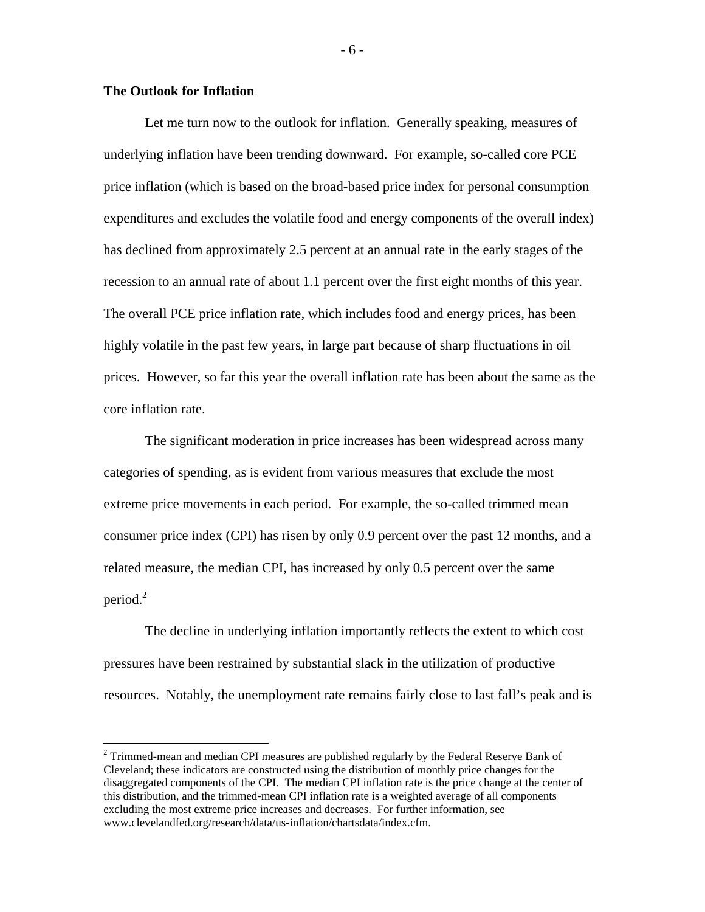# **The Outlook for Inflation**

 $\overline{a}$ 

Let me turn now to the outlook for inflation. Generally speaking, measures of underlying inflation have been trending downward. For example, so-called core PCE price inflation (which is based on the broad-based price index for personal consumption expenditures and excludes the volatile food and energy components of the overall index) has declined from approximately 2.5 percent at an annual rate in the early stages of the recession to an annual rate of about 1.1 percent over the first eight months of this year. The overall PCE price inflation rate, which includes food and energy prices, has been highly volatile in the past few years, in large part because of sharp fluctuations in oil prices. However, so far this year the overall inflation rate has been about the same as the core inflation rate.

The significant moderation in price increases has been widespread across many categories of spending, as is evident from various measures that exclude the most extreme price movements in each period. For example, the so-called trimmed mean consumer price index (CPI) has risen by only 0.9 percent over the past 12 months, and a related measure, the median CPI, has increased by only 0.5 percent over the same period. $^{2}$ 

The decline in underlying inflation importantly reflects the extent to which cost pressures have been restrained by substantial slack in the utilization of productive resources. Notably, the unemployment rate remains fairly close to last fall's peak and is

- 6 -

 $2$  Trimmed-mean and median CPI measures are published regularly by the Federal Reserve Bank of Cleveland; these indicators are constructed using the distribution of monthly price changes for the disaggregated components of the CPI. The median CPI inflation rate is the price change at the center of this distribution, and the trimmed-mean CPI inflation rate is a weighted average of all components excluding the most extreme price increases and decreases. For further information, see www.clevelandfed.org/research/data/us-inflation/chartsdata/index.cfm.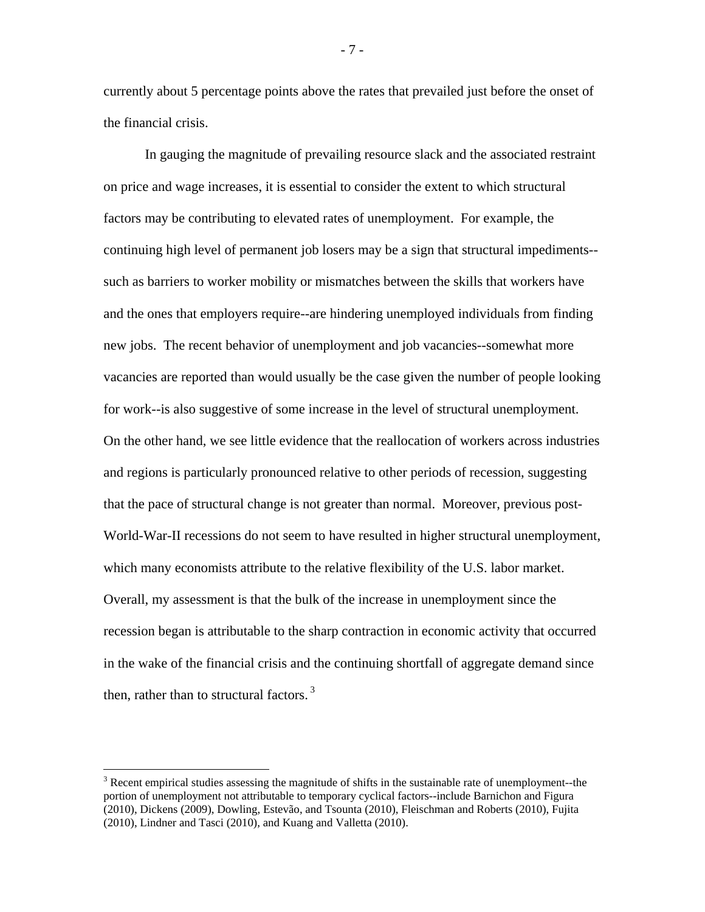currently about 5 percentage points above the rates that prevailed just before the onset of the financial crisis.

In gauging the magnitude of prevailing resource slack and the associated restraint on price and wage increases, it is essential to consider the extent to which structural factors may be contributing to elevated rates of unemployment. For example, the continuing high level of permanent job losers may be a sign that structural impediments- such as barriers to worker mobility or mismatches between the skills that workers have and the ones that employers require--are hindering unemployed individuals from finding new jobs. The recent behavior of unemployment and job vacancies--somewhat more vacancies are reported than would usually be the case given the number of people looking for work--is also suggestive of some increase in the level of structural unemployment. On the other hand, we see little evidence that the reallocation of workers across industries and regions is particularly pronounced relative to other periods of recession, suggesting that the pace of structural change is not greater than normal. Moreover, previous post-World-War-II recessions do not seem to have resulted in higher structural unemployment, which many economists attribute to the relative flexibility of the U.S. labor market. Overall, my assessment is that the bulk of the increase in unemployment since the recession began is attributable to the sharp contraction in economic activity that occurred in the wake of the financial crisis and the continuing shortfall of aggregate demand since then, rather than to structural factors.<sup>3</sup>

 $\overline{a}$ 

- 7 -

 $3$  Recent empirical studies assessing the magnitude of shifts in the sustainable rate of unemployment-the portion of unemployment not attributable to temporary cyclical factors--include Barnichon and Figura (2010), Dickens (2009), Dowling, Estevão, and Tsounta (2010), Fleischman and Roberts (2010), Fujita (2010), Lindner and Tasci (2010), and Kuang and Valletta (2010).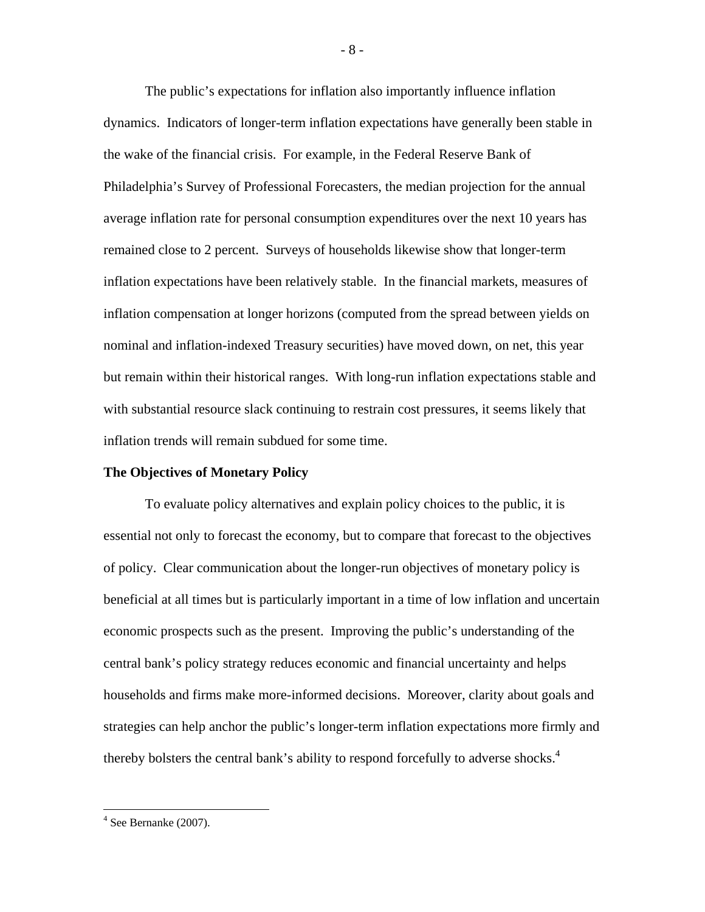The public's expectations for inflation also importantly influence inflation dynamics. Indicators of longer-term inflation expectations have generally been stable in the wake of the financial crisis. For example, in the Federal Reserve Bank of Philadelphia's Survey of Professional Forecasters, the median projection for the annual average inflation rate for personal consumption expenditures over the next 10 years has remained close to 2 percent. Surveys of households likewise show that longer-term inflation expectations have been relatively stable. In the financial markets, measures of inflation compensation at longer horizons (computed from the spread between yields on nominal and inflation-indexed Treasury securities) have moved down, on net, this year but remain within their historical ranges. With long-run inflation expectations stable and with substantial resource slack continuing to restrain cost pressures, it seems likely that inflation trends will remain subdued for some time.

### **The Objectives of Monetary Policy**

To evaluate policy alternatives and explain policy choices to the public, it is essential not only to forecast the economy, but to compare that forecast to the objectives of policy. Clear communication about the longer-run objectives of monetary policy is beneficial at all times but is particularly important in a time of low inflation and uncertain economic prospects such as the present. Improving the public's understanding of the central bank's policy strategy reduces economic and financial uncertainty and helps households and firms make more-informed decisions. Moreover, clarity about goals and strategies can help anchor the public's longer-term inflation expectations more firmly and thereby bolsters the central bank's ability to respond forcefully to adverse shocks.<sup>4</sup>

<u>.</u>

<sup>- 8 -</sup> 

 $4$  See Bernanke (2007).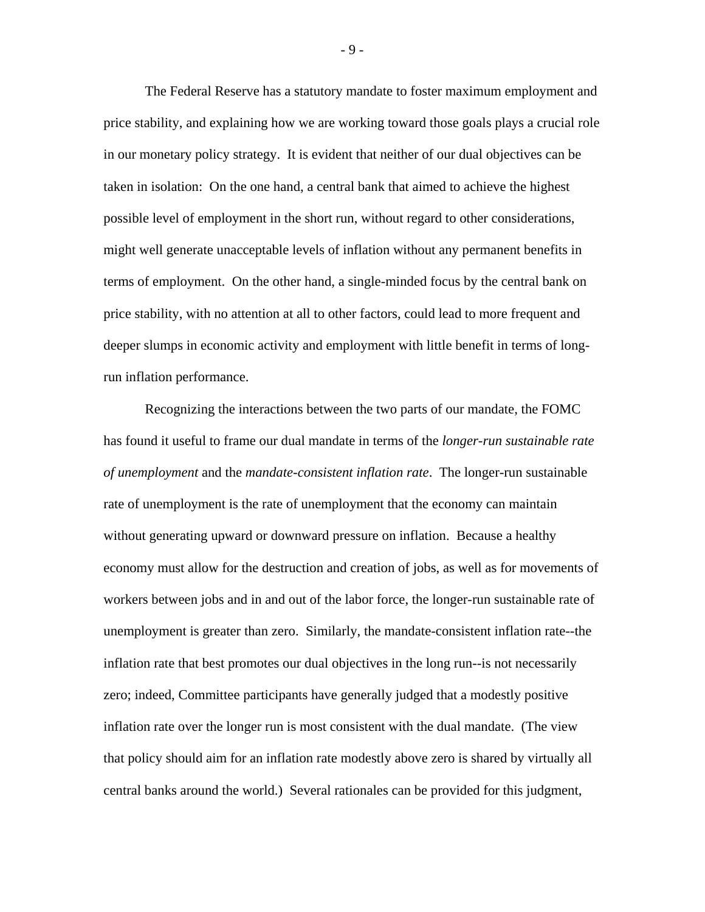The Federal Reserve has a statutory mandate to foster maximum employment and price stability, and explaining how we are working toward those goals plays a crucial role in our monetary policy strategy. It is evident that neither of our dual objectives can be taken in isolation: On the one hand, a central bank that aimed to achieve the highest possible level of employment in the short run, without regard to other considerations, might well generate unacceptable levels of inflation without any permanent benefits in terms of employment. On the other hand, a single-minded focus by the central bank on price stability, with no attention at all to other factors, could lead to more frequent and deeper slumps in economic activity and employment with little benefit in terms of longrun inflation performance.

Recognizing the interactions between the two parts of our mandate, the FOMC has found it useful to frame our dual mandate in terms of the *longer-run sustainable rate of unemployment* and the *mandate-consistent inflation rate*. The longer-run sustainable rate of unemployment is the rate of unemployment that the economy can maintain without generating upward or downward pressure on inflation. Because a healthy economy must allow for the destruction and creation of jobs, as well as for movements of workers between jobs and in and out of the labor force, the longer-run sustainable rate of unemployment is greater than zero. Similarly, the mandate-consistent inflation rate--the inflation rate that best promotes our dual objectives in the long run--is not necessarily zero; indeed, Committee participants have generally judged that a modestly positive inflation rate over the longer run is most consistent with the dual mandate. (The view that policy should aim for an inflation rate modestly above zero is shared by virtually all central banks around the world.) Several rationales can be provided for this judgment,

- 9 -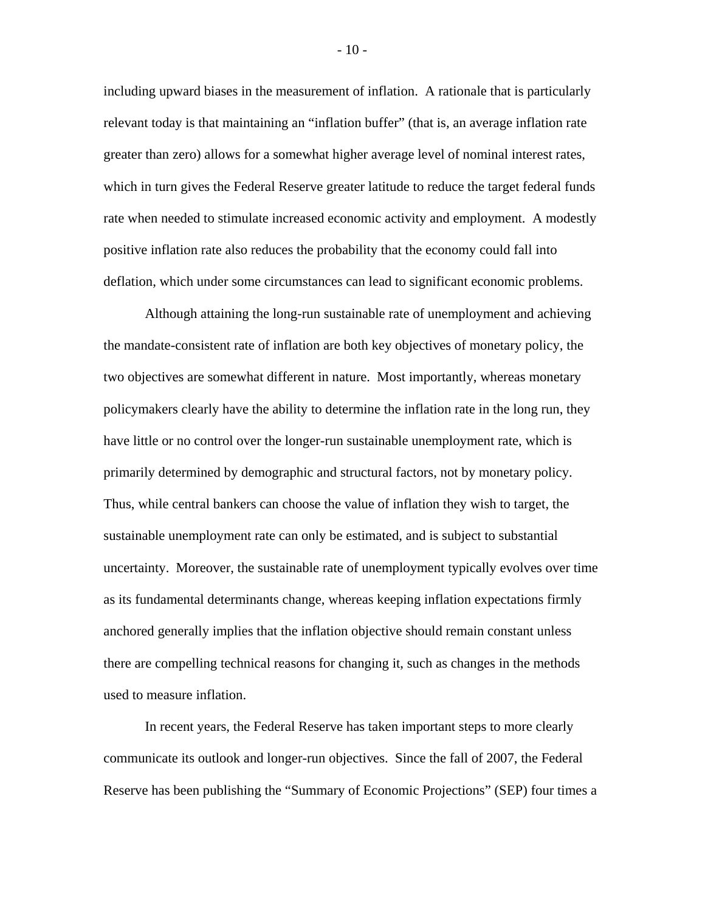including upward biases in the measurement of inflation. A rationale that is particularly relevant today is that maintaining an "inflation buffer" (that is, an average inflation rate greater than zero) allows for a somewhat higher average level of nominal interest rates, which in turn gives the Federal Reserve greater latitude to reduce the target federal funds rate when needed to stimulate increased economic activity and employment. A modestly positive inflation rate also reduces the probability that the economy could fall into deflation, which under some circumstances can lead to significant economic problems.

Although attaining the long-run sustainable rate of unemployment and achieving the mandate-consistent rate of inflation are both key objectives of monetary policy, the two objectives are somewhat different in nature. Most importantly, whereas monetary policymakers clearly have the ability to determine the inflation rate in the long run, they have little or no control over the longer-run sustainable unemployment rate, which is primarily determined by demographic and structural factors, not by monetary policy. Thus, while central bankers can choose the value of inflation they wish to target, the sustainable unemployment rate can only be estimated, and is subject to substantial uncertainty. Moreover, the sustainable rate of unemployment typically evolves over time as its fundamental determinants change, whereas keeping inflation expectations firmly anchored generally implies that the inflation objective should remain constant unless there are compelling technical reasons for changing it, such as changes in the methods used to measure inflation.

In recent years, the Federal Reserve has taken important steps to more clearly communicate its outlook and longer-run objectives. Since the fall of 2007, the Federal Reserve has been publishing the "Summary of Economic Projections" (SEP) four times a

- 10 -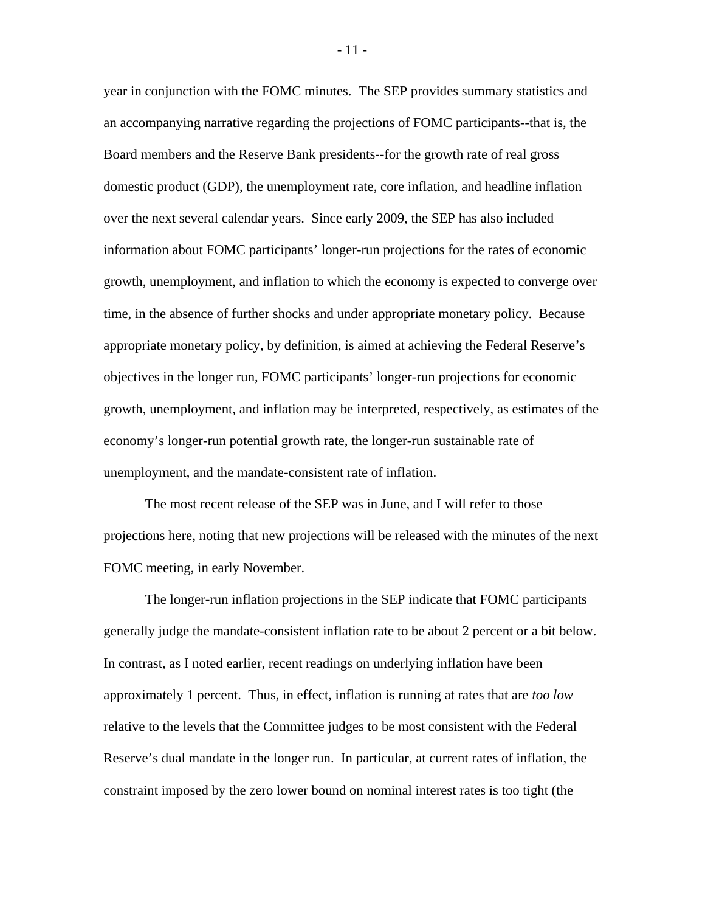year in conjunction with the FOMC minutes. The SEP provides summary statistics and an accompanying narrative regarding the projections of FOMC participants--that is, the Board members and the Reserve Bank presidents--for the growth rate of real gross domestic product (GDP), the unemployment rate, core inflation, and headline inflation over the next several calendar years. Since early 2009, the SEP has also included information about FOMC participants' longer-run projections for the rates of economic growth, unemployment, and inflation to which the economy is expected to converge over time, in the absence of further shocks and under appropriate monetary policy. Because appropriate monetary policy, by definition, is aimed at achieving the Federal Reserve's objectives in the longer run, FOMC participants' longer-run projections for economic growth, unemployment, and inflation may be interpreted, respectively, as estimates of the economy's longer-run potential growth rate, the longer-run sustainable rate of unemployment, and the mandate-consistent rate of inflation.

The most recent release of the SEP was in June, and I will refer to those projections here, noting that new projections will be released with the minutes of the next FOMC meeting, in early November.

The longer-run inflation projections in the SEP indicate that FOMC participants generally judge the mandate-consistent inflation rate to be about 2 percent or a bit below. In contrast, as I noted earlier, recent readings on underlying inflation have been approximately 1 percent. Thus, in effect, inflation is running at rates that are *too low* relative to the levels that the Committee judges to be most consistent with the Federal Reserve's dual mandate in the longer run. In particular, at current rates of inflation, the constraint imposed by the zero lower bound on nominal interest rates is too tight (the

- 11 -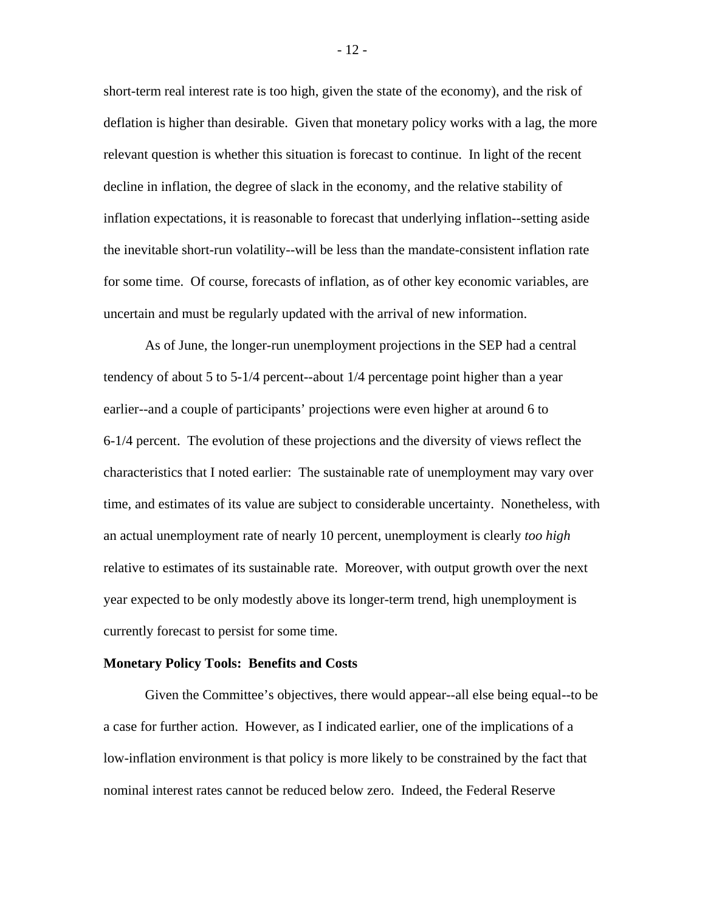short-term real interest rate is too high, given the state of the economy), and the risk of deflation is higher than desirable. Given that monetary policy works with a lag, the more relevant question is whether this situation is forecast to continue. In light of the recent decline in inflation, the degree of slack in the economy, and the relative stability of inflation expectations, it is reasonable to forecast that underlying inflation--setting aside the inevitable short-run volatility--will be less than the mandate-consistent inflation rate for some time. Of course, forecasts of inflation, as of other key economic variables, are uncertain and must be regularly updated with the arrival of new information.

As of June, the longer-run unemployment projections in the SEP had a central tendency of about 5 to 5-1/4 percent--about 1/4 percentage point higher than a year earlier--and a couple of participants' projections were even higher at around 6 to 6-1/4 percent. The evolution of these projections and the diversity of views reflect the characteristics that I noted earlier: The sustainable rate of unemployment may vary over time, and estimates of its value are subject to considerable uncertainty. Nonetheless, with an actual unemployment rate of nearly 10 percent, unemployment is clearly *too high* relative to estimates of its sustainable rate. Moreover, with output growth over the next year expected to be only modestly above its longer-term trend, high unemployment is currently forecast to persist for some time.

#### **Monetary Policy Tools: Benefits and Costs**

Given the Committee's objectives, there would appear--all else being equal--to be a case for further action. However, as I indicated earlier, one of the implications of a low-inflation environment is that policy is more likely to be constrained by the fact that nominal interest rates cannot be reduced below zero. Indeed, the Federal Reserve

- 12 -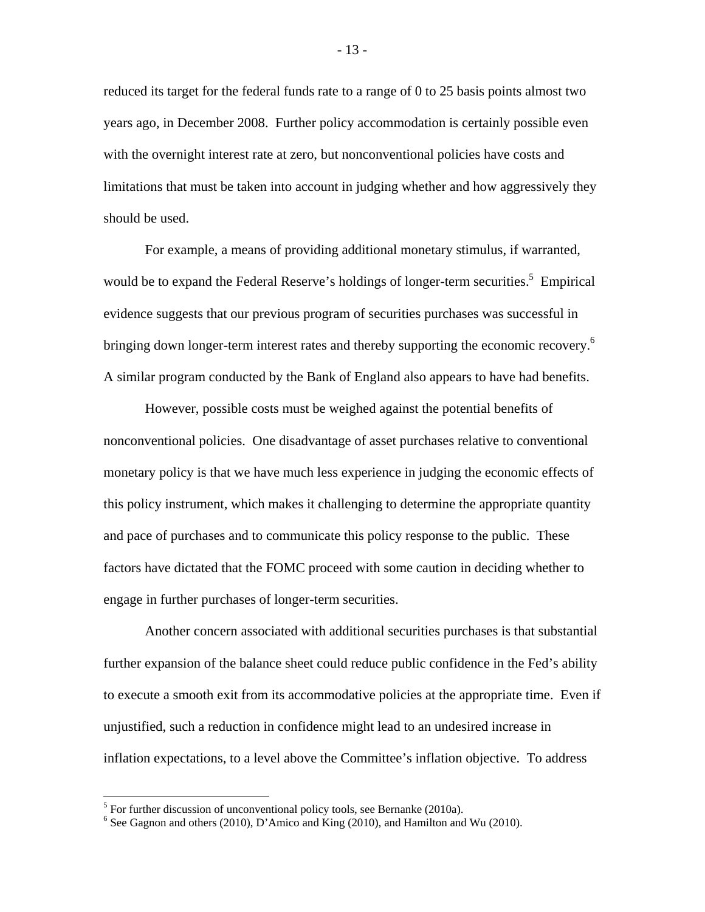reduced its target for the federal funds rate to a range of 0 to 25 basis points almost two years ago, in December 2008. Further policy accommodation is certainly possible even with the overnight interest rate at zero, but nonconventional policies have costs and limitations that must be taken into account in judging whether and how aggressively they should be used.

For example, a means of providing additional monetary stimulus, if warranted, would be to expand the Federal Reserve's holdings of longer-term securities.<sup>5</sup> Empirical evidence suggests that our previous program of securities purchases was successful in bringing down longer-term interest rates and thereby supporting the economic recovery.<sup>6</sup> A similar program conducted by the Bank of England also appears to have had benefits.

However, possible costs must be weighed against the potential benefits of nonconventional policies. One disadvantage of asset purchases relative to conventional monetary policy is that we have much less experience in judging the economic effects of this policy instrument, which makes it challenging to determine the appropriate quantity and pace of purchases and to communicate this policy response to the public. These factors have dictated that the FOMC proceed with some caution in deciding whether to engage in further purchases of longer-term securities.

Another concern associated with additional securities purchases is that substantial further expansion of the balance sheet could reduce public confidence in the Fed's ability to execute a smooth exit from its accommodative policies at the appropriate time. Even if unjustified, such a reduction in confidence might lead to an undesired increase in inflation expectations, to a level above the Committee's inflation objective. To address

<sup>&</sup>lt;sup>5</sup> For further discussion of unconventional policy tools, see Bernanke (2010a).

 $6$  See Gagnon and others (2010), D'Amico and King (2010), and Hamilton and Wu (2010).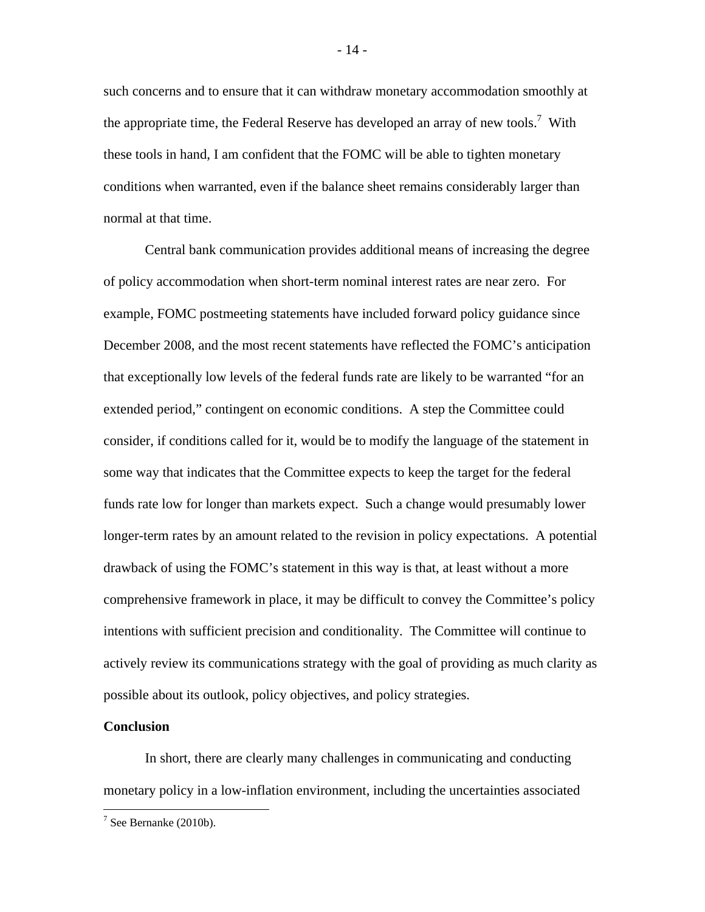such concerns and to ensure that it can withdraw monetary accommodation smoothly at the appropriate time, the Federal Reserve has developed an array of new tools.<sup>7</sup> With these tools in hand, I am confident that the FOMC will be able to tighten monetary conditions when warranted, even if the balance sheet remains considerably larger than normal at that time.

Central bank communication provides additional means of increasing the degree of policy accommodation when short-term nominal interest rates are near zero. For example, FOMC postmeeting statements have included forward policy guidance since December 2008, and the most recent statements have reflected the FOMC's anticipation that exceptionally low levels of the federal funds rate are likely to be warranted "for an extended period," contingent on economic conditions. A step the Committee could consider, if conditions called for it, would be to modify the language of the statement in some way that indicates that the Committee expects to keep the target for the federal funds rate low for longer than markets expect. Such a change would presumably lower longer-term rates by an amount related to the revision in policy expectations. A potential drawback of using the FOMC's statement in this way is that, at least without a more comprehensive framework in place, it may be difficult to convey the Committee's policy intentions with sufficient precision and conditionality. The Committee will continue to actively review its communications strategy with the goal of providing as much clarity as possible about its outlook, policy objectives, and policy strategies.

## **Conclusion**

 $\overline{a}$ 

In short, there are clearly many challenges in communicating and conducting monetary policy in a low-inflation environment, including the uncertainties associated

 $7$  See Bernanke (2010b).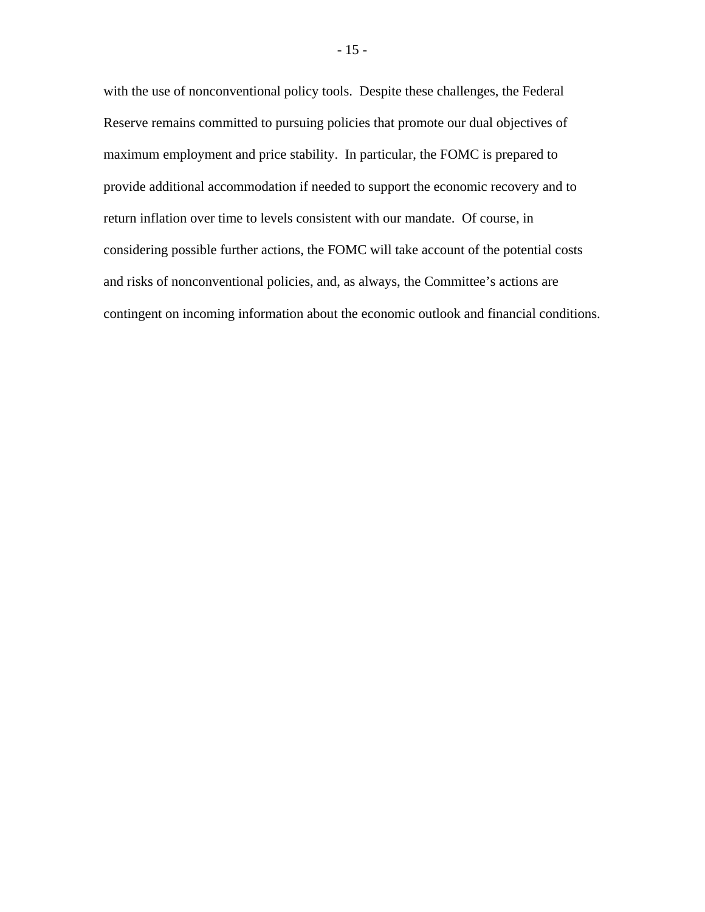with the use of nonconventional policy tools. Despite these challenges, the Federal Reserve remains committed to pursuing policies that promote our dual objectives of maximum employment and price stability. In particular, the FOMC is prepared to provide additional accommodation if needed to support the economic recovery and to return inflation over time to levels consistent with our mandate. Of course, in considering possible further actions, the FOMC will take account of the potential costs and risks of nonconventional policies, and, as always, the Committee's actions are contingent on incoming information about the economic outlook and financial conditions.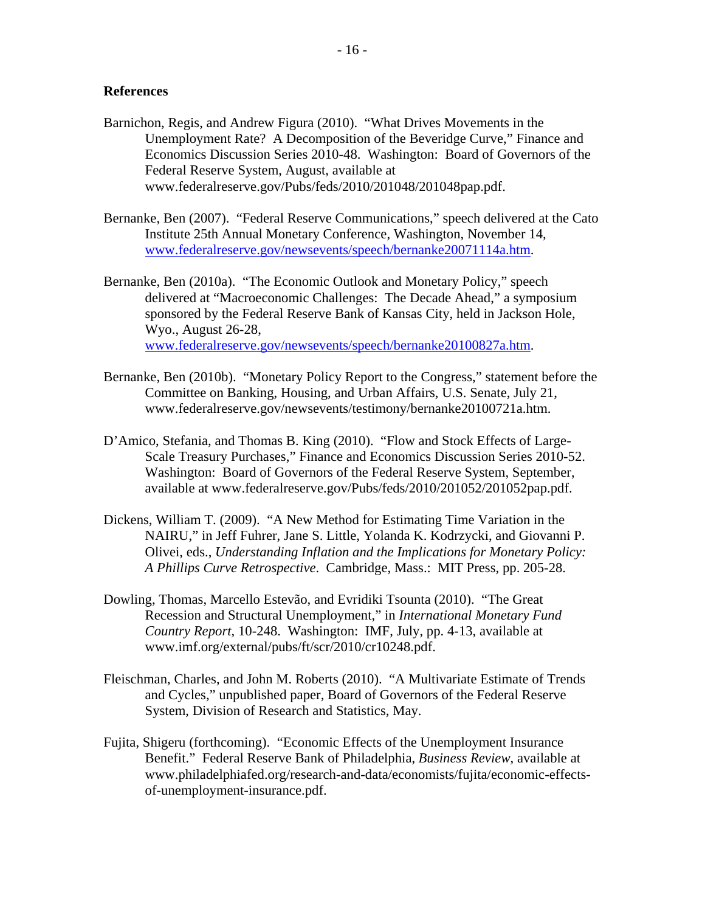## **References**

- Barnichon, Regis, and Andrew Figura (2010). "What Drives Movements in the Unemployment Rate? A Decomposition of the Beveridge Curve," Finance and Economics Discussion Series 2010-48. Washington: Board of Governors of the Federal Reserve System, August, available at www.federalreserve.gov/Pubs/feds/2010/201048/201048pap.pdf.
- Bernanke, Ben (2007). "Federal Reserve Communications," speech delivered at the Cato Institute 25th Annual Monetary Conference, Washington, November 14, www.federalreserve.gov/newsevents/speech/bernanke20071114a.htm.
- Bernanke, Ben (2010a). "The Economic Outlook and Monetary Policy," speech delivered at "Macroeconomic Challenges: The Decade Ahead," a symposium sponsored by the Federal Reserve Bank of Kansas City, held in Jackson Hole, Wyo., August 26-28, www.federalreserve.gov/newsevents/speech/bernanke20100827a.htm.
- Bernanke, Ben (2010b). "Monetary Policy Report to the Congress," statement before the Committee on Banking, Housing, and Urban Affairs, U.S. Senate, July 21, www.federalreserve.gov/newsevents/testimony/bernanke20100721a.htm.
- D'Amico, Stefania, and Thomas B. King (2010). "Flow and Stock Effects of Large-Scale Treasury Purchases," Finance and Economics Discussion Series 2010-52. Washington: Board of Governors of the Federal Reserve System, September, available at www.federalreserve.gov/Pubs/feds/2010/201052/201052pap.pdf.
- Dickens, William T. (2009). "A New Method for Estimating Time Variation in the NAIRU," in Jeff Fuhrer, Jane S. Little, Yolanda K. Kodrzycki, and Giovanni P. Olivei, eds., *Understanding Inflation and the Implications for Monetary Policy: A Phillips Curve Retrospective*. Cambridge, Mass.: MIT Press, pp. 205-28.
- Dowling, Thomas, Marcello Estevão, and Evridiki Tsounta (2010). "The Great Recession and Structural Unemployment," in *International Monetary Fund Country Report,* 10-248. Washington: IMF, July, pp. 4-13, available at www.imf.org/external/pubs/ft/scr/2010/cr10248.pdf.
- Fleischman, Charles, and John M. Roberts (2010). "A Multivariate Estimate of Trends and Cycles," unpublished paper, Board of Governors of the Federal Reserve System, Division of Research and Statistics, May.
- Fujita, Shigeru (forthcoming). "Economic Effects of the Unemployment Insurance Benefit." Federal Reserve Bank of Philadelphia, *Business Review*, available at www.philadelphiafed.org/research-and-data/economists/fujita/economic-effectsof-unemployment-insurance.pdf.